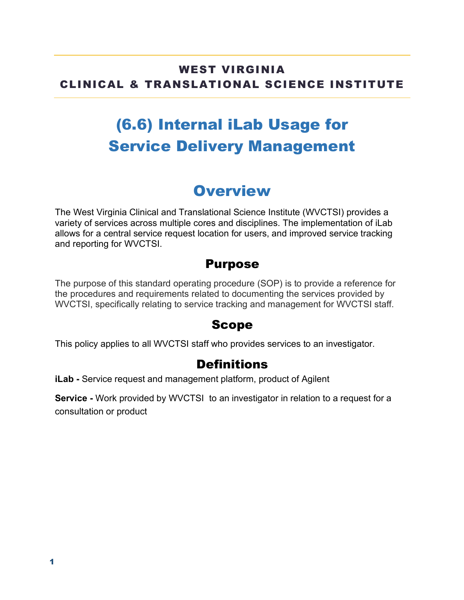#### WEST VIRGINIA CLINICAL & TRANSLATIONAL SCIENCE INSTITUTE

# (6.6) Internal iLab Usage for Service Delivery Management

### **Overview**

The West Virginia Clinical and Translational Science Institute (WVCTSI) provides a variety of services across multiple cores and disciplines. The implementation of iLab allows for a central service request location for users, and improved service tracking and reporting for WVCTSI.

### Purpose

The purpose of this standard operating procedure (SOP) is to provide a reference for the procedures and requirements related to documenting the services provided by WVCTSI, specifically relating to service tracking and management for WVCTSI staff.

### Scope

This policy applies to all WVCTSI staff who provides services to an investigator.

### **Definitions**

**iLab -** Service request and management platform, product of Agilent

**Service -** Work provided by WVCTSI to an investigator in relation to a request for a consultation or product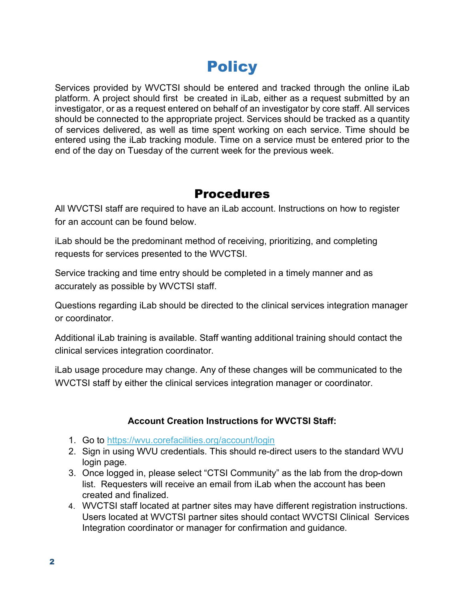## **Policy**

Services provided by WVCTSI should be entered and tracked through the online iLab platform. A project should first be created in iLab, either as a request submitted by an investigator, or as a request entered on behalf of an investigator by core staff. All services should be connected to the appropriate project. Services should be tracked as a quantity of services delivered, as well as time spent working on each service. Time should be entered using the iLab tracking module. Time on a service must be entered prior to the end of the day on Tuesday of the current week for the previous week.

#### **Procedures**

All WVCTSI staff are required to have an iLab account. Instructions on how to register for an account can be found below.

iLab should be the predominant method of receiving, prioritizing, and completing requests for services presented to the WVCTSI.

Service tracking and time entry should be completed in a timely manner and as accurately as possible by WVCTSI staff.

Questions regarding iLab should be directed to the clinical services integration manager or coordinator.

Additional iLab training is available. Staff wanting additional training should contact the clinical services integration coordinator.

iLab usage procedure may change. Any of these changes will be communicated to the WVCTSI staff by either the clinical services integration manager or coordinator.

#### **Account Creation Instructions for WVCTSI Staff:**

- 1. Go to https://wvu.corefacilities.org/account/login
- 2. Sign in using WVU credentials. This should re-direct users to the standard WVU login page.
- 3. Once logged in, please select "CTSI Community" as the lab from the drop-down list. Requesters will receive an email from iLab when the account has been created and finalized.
- 4. WVCTSI staff located at partner sites may have different registration instructions. Users located at WVCTSI partner sites should contact WVCTSI Clinical Services Integration coordinator or manager for confirmation and guidance.